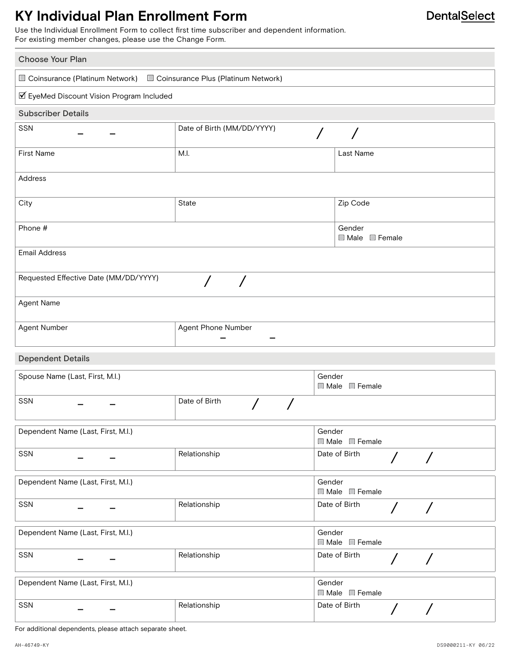# **KY Individual Plan Enrollment Form**

Use the Individual Enrollment Form to collect first time subscriber and dependent information. For existing member changes, please use the Change Form.

| <b>Choose Your Plan</b>                                            |                            |                                     |                                        |  |
|--------------------------------------------------------------------|----------------------------|-------------------------------------|----------------------------------------|--|
| Coinsurance (Platinum Network) Coinsurance Plus (Platinum Network) |                            |                                     |                                        |  |
| ☑ EyeMed Discount Vision Program Included                          |                            |                                     |                                        |  |
| <b>Subscriber Details</b>                                          |                            |                                     |                                        |  |
| SSN                                                                | Date of Birth (MM/DD/YYYY) | $\prime$                            |                                        |  |
| <b>First Name</b>                                                  | M.I.                       | Last Name                           |                                        |  |
| Address                                                            |                            |                                     |                                        |  |
| City                                                               | State                      | Zip Code                            |                                        |  |
| Phone #                                                            |                            | Gender<br>Male Female               |                                        |  |
| <b>Email Address</b>                                               |                            |                                     |                                        |  |
| Requested Effective Date (MM/DD/YYYY)                              |                            |                                     |                                        |  |
| Agent Name                                                         |                            |                                     |                                        |  |
| Agent Number                                                       | Agent Phone Number         |                                     |                                        |  |
| <b>Dependent Details</b>                                           |                            |                                     |                                        |  |
| Spouse Name (Last, First, M.I.)                                    |                            | Gender<br>Male Female               |                                        |  |
| <b>SSN</b>                                                         | Date of Birth              |                                     |                                        |  |
| Dependent Name (Last, First, M.I.)                                 |                            | Gender<br>$\Box$ Male $\Box$ Female |                                        |  |
| SSN                                                                | Relationship               | Date of Birth                       | $\sqrt{2}$<br>$\sqrt{2}$               |  |
| Dependent Name (Last, First, M.I.)                                 |                            | Gender<br>Male Female               |                                        |  |
| SSN                                                                | Relationship               | Date of Birth                       | $\prime$<br>$\sqrt{2}$                 |  |
| Dependent Name (Last, First, M.I.)                                 |                            | Gender<br>Male Female               |                                        |  |
| SSN                                                                | Relationship               | Date of Birth                       | $\overline{\phantom{a}}$<br>$\sqrt{2}$ |  |
| Dependent Name (Last, First, M.I.)                                 |                            | Gender<br>Male Female               |                                        |  |
| SSN                                                                | Relationship               | Date of Birth                       | $\overline{ }$<br>$\sqrt{2}$           |  |

For additional dependents, please attach separate sheet.